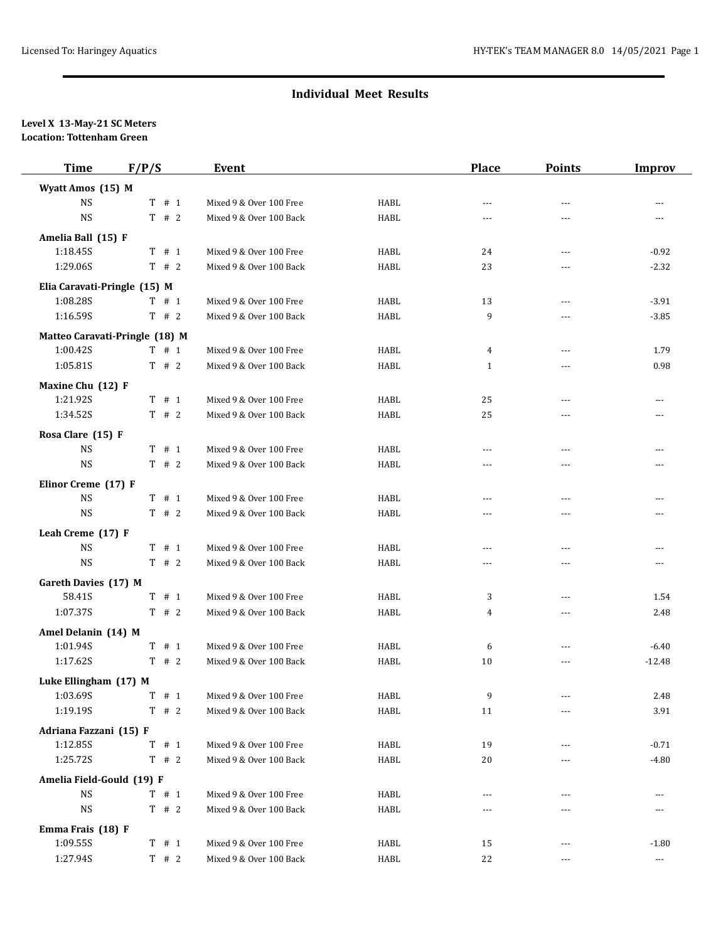### **Individual Meet Results**

#### **Level X 13-May-21 SC Meters Location: Tottenham Green**

| <b>Improv</b>        |
|----------------------|
|                      |
| ---                  |
| ---                  |
|                      |
| $-0.92$              |
| $-2.32$              |
|                      |
| $-3.91$              |
| $-3.85$              |
|                      |
| 1.79                 |
| 0.98                 |
|                      |
| ---                  |
| ---                  |
|                      |
| ---                  |
| ---                  |
|                      |
| ---                  |
| ---                  |
|                      |
| ---                  |
| ---                  |
|                      |
| 1.54                 |
| 2.48                 |
|                      |
| $-6.40$              |
| $-12.48$             |
|                      |
| 2.48                 |
| 3.91                 |
|                      |
| $-0.71$              |
| $-4.80$              |
|                      |
| $\cdots$             |
| ---                  |
|                      |
| $-1.80$              |
| $\scriptstyle\cdots$ |
|                      |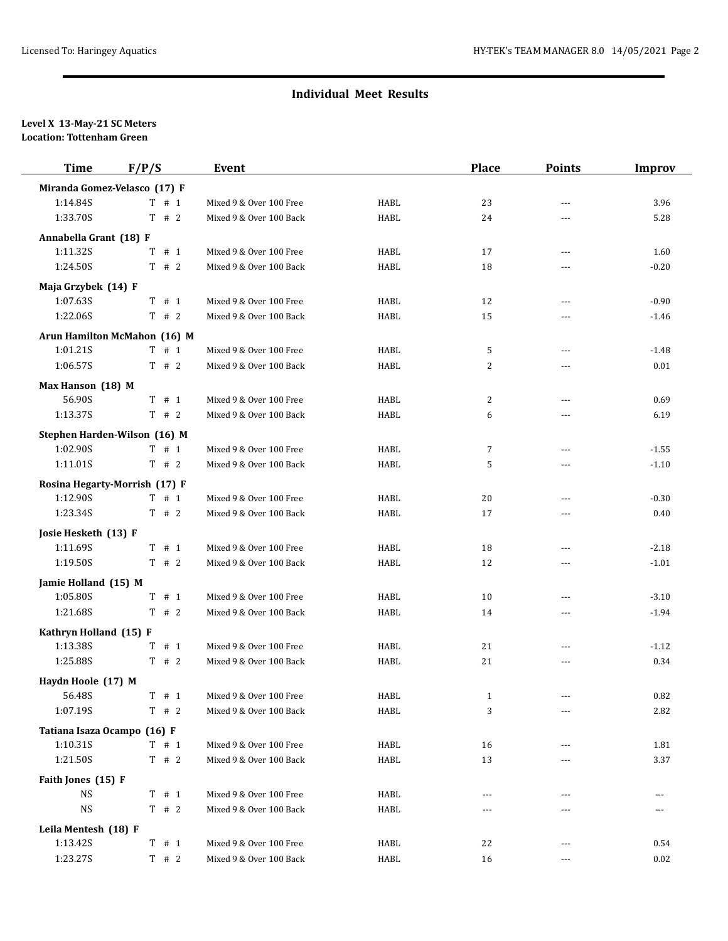## **Individual Meet Results**

#### **Level X 13-May-21 SC Meters Location: Tottenham Green**

| <b>Time</b>                 | F/P/S                         | Event                   |             | Place          | <b>Points</b>  | <b>Improv</b> |
|-----------------------------|-------------------------------|-------------------------|-------------|----------------|----------------|---------------|
|                             | Miranda Gomez-Velasco (17) F  |                         |             |                |                |               |
| 1:14.84S                    | T # 1                         | Mixed 9 & Over 100 Free | <b>HABL</b> | 23             | $---$          | 3.96          |
| 1:33.70S                    | $T$ # 2                       | Mixed 9 & Over 100 Back | <b>HABL</b> | 24             | ---            | 5.28          |
| Annabella Grant (18) F      |                               |                         |             |                |                |               |
| 1:11.32S                    | # 1<br>T                      | Mixed 9 & Over 100 Free | <b>HABL</b> | 17             | $---$          | 1.60          |
| 1:24.50S                    | $T$ # 2                       | Mixed 9 & Over 100 Back | <b>HABL</b> | 18             | $- - -$        | $-0.20$       |
| Maja Grzybek (14) F         |                               |                         |             |                |                |               |
| 1:07.63S                    | $T$ # 1                       | Mixed 9 & Over 100 Free | HABL        | 12             | $\overline{a}$ | $-0.90$       |
| 1:22.06S                    | T # 2                         | Mixed 9 & Over 100 Back | HABL        | 15             | ---            | $-1.46$       |
|                             | Arun Hamilton McMahon (16) M  |                         |             |                |                |               |
| 1:01.21S                    | T # 1                         | Mixed 9 & Over 100 Free | <b>HABL</b> | 5              | $\overline{a}$ | $-1.48$       |
| 1:06.57S                    | T # 2                         | Mixed 9 & Over 100 Back | <b>HABL</b> | $\overline{2}$ | ---            | 0.01          |
| Max Hanson (18) M           |                               |                         |             |                |                |               |
| 56.90S                      | $T$ # 1                       | Mixed 9 & Over 100 Free | HABL        | 2              | ---            | 0.69          |
| 1:13.37S                    | T # 2                         | Mixed 9 & Over 100 Back | HABL        | 6              | $\overline{a}$ | 6.19          |
|                             | Stephen Harden-Wilson (16) M  |                         |             |                |                |               |
| 1:02.90S                    | $T$ # 1                       | Mixed 9 & Over 100 Free | HABL        | 7              | $\overline{a}$ | $-1.55$       |
| 1:11.01S                    | T # 2                         | Mixed 9 & Over 100 Back | HABL        | 5              | ---            | $-1.10$       |
|                             | Rosina Hegarty-Morrish (17) F |                         |             |                |                |               |
| 1:12.90S                    | $T$ # 1                       | Mixed 9 & Over 100 Free | HABL        | 20             |                | $-0.30$       |
| 1:23.34S                    | T # 2                         | Mixed 9 & Over 100 Back | HABL        | 17             | ---            | 0.40          |
| Josie Hesketh (13) F        |                               |                         |             |                |                |               |
| 1:11.69S                    | T # 1                         | Mixed 9 & Over 100 Free | HABL        | 18             | ---            | $-2.18$       |
| 1:19.50S                    | $T$ # 2                       | Mixed 9 & Over 100 Back | <b>HABL</b> | 12             | $---$          | $-1.01$       |
| Jamie Holland (15) M        |                               |                         |             |                |                |               |
| 1:05.80S                    | $T$ # 1                       | Mixed 9 & Over 100 Free | HABL        | 10             | $---$          | $-3.10$       |
| 1:21.68S                    | $T$ # 2                       | Mixed 9 & Over 100 Back | HABL        | 14             | ---            | $-1.94$       |
| Kathryn Holland (15) F      |                               |                         |             |                |                |               |
| 1:13.38S                    | $T$ # 1                       | Mixed 9 & Over 100 Free | <b>HABL</b> | 21             | $\overline{a}$ | $-1.12$       |
| 1:25.88S                    | $T$ # 2                       | Mixed 9 & Over 100 Back | <b>HABL</b> | 21             | ---            | 0.34          |
| Haydn Hoole (17) M          |                               |                         |             |                |                |               |
| 56.48S                      | $T$ # 1                       | Mixed 9 & Over 100 Free | HABL        | $\mathbf{1}$   | ---            | 0.82          |
| 1:07.19S                    | $T$ # 2                       | Mixed 9 & Over 100 Back | HABL        | 3              | $---$          | 2.82          |
| Tatiana Isaza Ocampo (16) F |                               |                         |             |                |                |               |
| 1:10.31S                    | T # 1                         | Mixed 9 & Over 100 Free | HABL        | 16             | $---$          | 1.81          |
| 1:21.50S                    | T # 2                         | Mixed 9 & Over 100 Back | HABL        | 13             |                | 3.37          |
| Faith Jones (15) F          |                               |                         |             |                |                |               |
| <b>NS</b>                   | T # 1                         | Mixed 9 & Over 100 Free | HABL        | ---            | ---            | ---           |
| <b>NS</b>                   | T # 2                         | Mixed 9 & Over 100 Back | HABL        | ---            | ---            | ---           |
| Leila Mentesh (18) F        |                               |                         |             |                |                |               |
| 1:13.42S                    | T # 1                         | Mixed 9 & Over 100 Free | HABL        | 22             | ---            | 0.54          |
| 1:23.27S                    | T # 2                         | Mixed 9 & Over 100 Back | HABL        | 16             | $---$          | 0.02          |